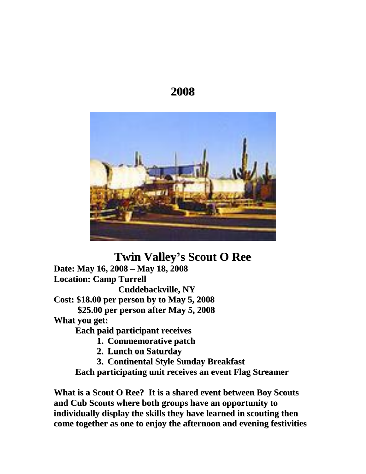# **2008**



**Twin Valleyí<sup>s</sup> Scout <sup>O</sup> Ree**

**Date: May 16, <sup>2008</sup> <sup>ñ</sup> May 18, <sup>2008</sup> Location: Camp Turrell Cuddebackville, NY Cost: \$18.00 per person by to May 5, 2008 \$25.00 per person after May 5, 2008 What you get: Each paid participant receives**

**1. Commemorative patch**

- **2. Lunch on Saturday**
- **3. Continental Style Sunday Breakfast**

**Each participating unit receives an event Flag Streamer**

**What is a Scout O Ree? Itis a shared event between Boy Scouts and Cub Scouts where both groups have an opportunity to individually display the skills they have learned in scouting then come together as one to enjoy the afternoon and evening festivities**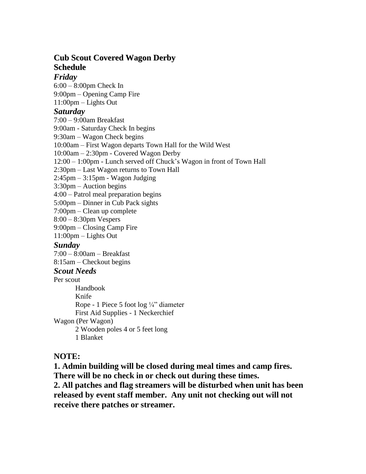# **Cub Scout Covered Wagon Derby Schedule**

### *Friday*

 $6:00 - 8:00$ pm Check In **Friday**<br>6:00 – 8:00pm Check In<br>9:00pm – Opening Camp Fire 6:00 – 8:00pm Check In<br>9:00pm – Opening Camp F<br>11:00pm – Lights Out 11:00pm – Lights Out<br>**Saturday**<br>7:00 – 9:00am Breakfast

### *Saturday*

9:00am - Saturday Check In begins 7:00 – 9:00am Breakfast<br>9:00am - Saturday Check In begins<br>9:30am – Wagon Check begins 9:00am - Saturday Check In begins<br>9:30am – Wagon Check begins<br>10:00am – First Wagon departs Town Hall for the Wild West 9:30am – Wagon Check begins<br>10:00am – First Wagon departs Town Hall for the Wi<br>10:00am – 2:30pm - Covered Wagon Derby 10:00am – First Wagon departs Town Hall for the Wild West<br>10:00am – 2:30pm - Covered Wagon Derby<br>12:00 – 1:00pm - Lunch served off Chuck's Wagon in front of Town Hall 10:00am – 2:30pm - Covered Wagon Derby<br>12:00 – 1:00pm - Lunch served off Chuck's Wag<br>2:30pm – Last Wagon returns to Town Hall 12:00 – 1:00pm - Lunch served off Chuck's<br>2:30pm – Last Wagon returns to Town Hall<br>2:45pm – 3:15pm - Wagon Judging 2:30pm – Last Wagon returns to Town Hall<br>2:45pm – 3:15pm - Wagon Judging<br>3:30pm – Auction begins 2:45pm – 3:15pm - Wagon Judging<br>3:30pm – Auction begins<br>4:00 – Patrol meal preparation begins  $3:30\text{pm} - \text{Auction begins}$ <br> $4:00 - \text{Patrol}$  meal preparation begins<br> $5:00\text{pm} - \text{Dinner}$  in Cub Pack sights 4:00 – Patrol meal preparation begins<br>5:00pm – Dinner in Cub Pack sights<br>7:00pm – Clean up complete 5:00pm – Dinner in Cub Pack sights<br>7:00pm – Clean up complete<br>8:00 – 8:30pm Vespers 7:00pm – Clean up complete<br>8:00 – 8:30pm Vespers<br>9:00pm – Closing Camp Fire 8:00 – 8:30pm Vespers<br>9:00pm – Closing Camp Fi<br>11:00pm – Lights Out *Sunday* 11:00pm – Lights Out<br>**S***unday*<br>7:00 – 8:00am – Breakfast **Sunday**<br>7:00 – 8:00am – Breakfast<br>8:15am – Checkout begins *Scout Needs* Per scout Handbook Knife Rope - 1 Piece 5 foot  $\log \frac{1}{4}$  diameter First Aid Supplies - 1 Neckerchief

Wagon (Per Wagon)

2 Wooden poles 4 or 5 feet long 1 Blanket

### **NOTE:**

**1. Admin building will be closed during meal times and camp fires. There will be no check in or check out during these times. 2. All patches and flag streamers will be disturbed when unit has been released by event staff member. Any unit not checking out will not receive there patches or streamer.**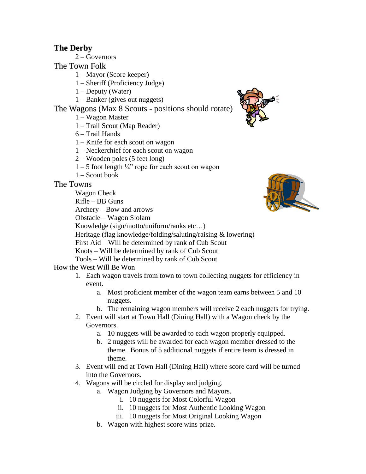# **The Derby**

 $2 - Goveror$ 

The Town Folk

 $1 -$ Mayor (Score keeper)

- 0wn Folk<br>1 Mayor (Score keeper)<br>1 Sheriff (Proficiency Judge) 1 – Mayor (Score keeper)<br>1 – Sheriff (Proficiency Ji<br>1 – Deputy (Water)
- 
- $1 -$ Deputy (Water)<br> $1 -$ Banker (gives out nuggets)

# The Wagons (Max 8 Scouts - positions should rotate)  $Q$ 1 – Banker (gives out nu<br>lagons (Max 8 Scouts<br>1 – Wagon Master Tagons (Max 8 Scouts - positio<br>1 – Wagon Master<br>1 – Trail Scout (Map Reader)

- 
- 1 Wagon Master<br>1 Trail Scout (Map Reader)<br>6 Trail Hands
- 
- $1 -$ Knife for each scout on wagon
- 6 Trail Hands<br>1 Knife for each scout on wagon<br>1 Neckerchief for each scout on wagon 1 – Knife for each scout on wagon<br>1 – Neckerchief for each scout on wa<br>2 – Wooden poles (5 feet long)
- 2 Wooden poles (5 feet long)<br>1 5 foot length  $\frac{1}{4}$ " rope for ea<br>1 Scout book
- $1 5$  foot length  $\frac{1}{4}$  rope for each scout on wagon
- 

### The Towns

Wagon Check

 $Rifle - BB Guns$ 

 $Archery - Bow$  and arrows

Obstacle – Wagon Slolam

Knowledge (sign/motto/uniform/ranks etc...)

Heritage (flag knowledge/folding/saluting/raising & lowering) Knowledge (sign/motto/uniform/ranks etc...)<br>Heritage (flag knowledge/folding/saluting/raising & lower<br>First Aid – Will be determined by rank of Cub Scout Heritage (flag knowledge/folding/saluting/raising & lo<br>First Aid – Will be determined by rank of Cub Scout<br>Knots – Will be determined by rank of Cub Scout

First Aid – Will be determined by rank of Cub Scout<br>Knots – Will be determined by rank of Cub Scout<br>Tools – Will be determined by rank of Cub Scout

### How the West Will Be Won

- 1. Each wagon travels from town to town collecting nuggets for efficiency in event.
	- a. Most proficient member of the wagon team earns between 5 and 10 nuggets.
	- b. The remaining wagon members will receive 2 each nuggets for trying.
- 2. Event will start at Town Hall (Dining Hall) with a Wagon check by the Governors.
	- a. 10 nuggets will be awarded to each wagon properly equipped.
	- b. 2 nuggets will be awarded for each wagon member dressed to the theme. Bonus of 5 additional nuggets if entire team is dressed in theme.
- 3. Event will end at Town Hall (Dining Hall) where score card will be turned into the Governors.
- 4. Wagons will be circled for display and judging.
	- a. Wagon Judging by Governors and Mayors.
		- i. 10 nuggets for Most Colorful Wagon
		- ii. 10 nuggets for Most Authentic Looking Wagon
		- iii. 10 nuggets for Most Original Looking Wagon
	- b. Wagon with highest score wins prize.



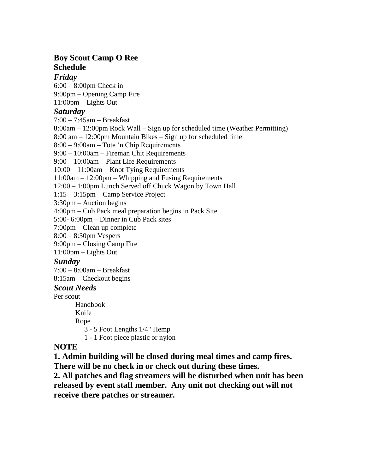# **Boy Scout Camp O Ree Schedule**

### *Friday*

 $6:00 - 8:00$ pm Check in **Friday**<br>6:00 – 8:00pm Check in<br>9:00pm – Opening Camp Fire 6:00 – 8:00pm Check in<br>9:00pm – Opening Camp F<br>11:00pm – Lights Out 11:00pm – Lights Out<br>**Saturday**<br>7:00 – 7:45am – Breakfast

### *Saturday*

**Saturday**<br>7:00 – 7:45am – Breakfast<br>8:00am – 12:00pm Rock Wall – Sign up for scheduled time (Weather Permitting) 7:00 – 7:45am – Breakfast<br>8:00am – 12:00pm Rock Wall – Sign up for scheduled time (Weather Per.<br>8:00 am – 12:00pm Mountain Bikes – Sign up for scheduled time 8:00am – 12:00pm Rock Wall – Sign up for schedu<br>8:00 am – 12:00pm Mountain Bikes – Sign up for s<br>8:00 – 9:00am – Tote 'n Chip Requirements 8:00 am – 12:00pm Mountain Bikes – Sign up for scl<br>8:00 – 9:00am – Tote 'n Chip Requirements<br>9:00 – 10:00am – Fireman Chit Requirements 8:00 – 9:00am – Tote 'n Chip Requirements<br>9:00 – 10:00am – Fireman Chit Requirements<br>9:00 – 10:00am – Plant Life Requirements  $9:00 - 10:00$ am – Fireman Chit Requirements<br> $9:00 - 10:00$ am – Plant Life Requirements<br> $10:00 - 11:00$ am – Knot Tying Requirements  $11:00$ am  $-12:00$ pm  $-$  Whipping and Fusing Requirements 10:00 – 11:00am – Knot Tying Requirements<br>11:00am – 12:00pm – Whipping and Fusing Requirements<br>12:00 – 1:00pm Lunch Served off Chuck Wagon by Town Hall  $11:00$ am  $- 12:00$ pm  $-$  Whipping and Fusing<br> $12:00 - 1:00$ pm Lunch Served off Chuck W<br> $1:15 - 3:15$ pm  $-$  Camp Service Project  $12:00 - 1:00$ pm Lunch Served of<br> $1:15 - 3:15$ pm – Camp Service I<br> $3:30$ pm – Auction begins 1:15 – 3:15pm – Camp Service Project<br>3:30pm – Auction begins<br>4:00pm – Cub Pack meal preparation begins in Pack Site 3:30pm – Auction begins<br>4:00pm – Cub Pack meal preparation begins in l<br>5:00- 6:00pm – Dinner in Cub Pack sites 4:00pm – Cub Pack meal preparation<br>5:00- 6:00pm – Dinner in Cub Pack s<br>7:00pm – Clean up complete 5:00-6:00pm – Dinner in Cub Pack sites<br>7:00pm – Clean up complete<br>8:00 – 8:30pm Vespers 7:00pm – Clean up complete<br>8:00 – 8:30pm Vespers<br>9:00pm – Closing Camp Fire 8:00 – 8:30pm Vespers<br>9:00pm – Closing Camp Fi<br>11:00pm – Lights Out

### *Sunday*

11:00pm – Lights Out<br>**S***unday*<br>7:00 – 8:00am – Breakfast **Sunday**<br>7:00 – 8:00am – Breakfast<br>8:15am – Checkout begins

### *Scout Needs*

Per scout

Handbook Knife Rope 3 - 5 Foot Lengths 1/4" Hemp

1 - 1 Foot piece plastic or nylon

### **NOTE**

**1. Admin building will be closed during meal times and camp fires. There will be no check in or check out during these times.**

**2. All patches and flag streamers will be disturbed when unit has been released by event staff member. Any unit not checking out will not receive there patches or streamer.**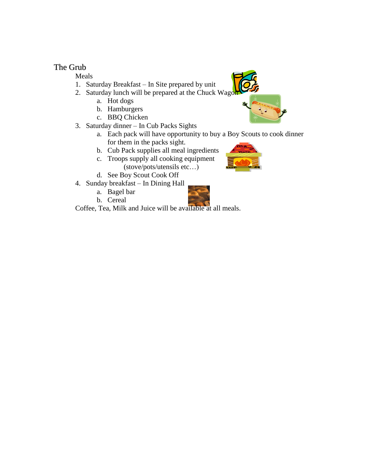### The Grub

Meals

- 1. Saturday Breakfast In Site prepared by unit
- 2. Saturday lunch will be prepared at the Chuck Wagon
	- a. Hot dogs
	- b. Hamburgers
	- c. BBQ Chicken
- 3. Saturday dinner In Cub Packs Sights
	- a. Each pack will have opportunity to buy a Boy Scouts to cook dinner for them in the packs sight.
	-
	- b. Cub Pack supplies all meal ingredients<br>
	c. Troops supply all cooking equipment<br>
	(stove/pots/utensils etc...) c. Troops supply all cooking equipment (stove/pots/utensils etc...)
	- d. See Boy Scout Cook Off
- 4. Sunday breakfast In Dining Hall
	- a. Bagel bar
	- b. Cereal



Coffee, Tea, Milk and Juice will be available at all meals.